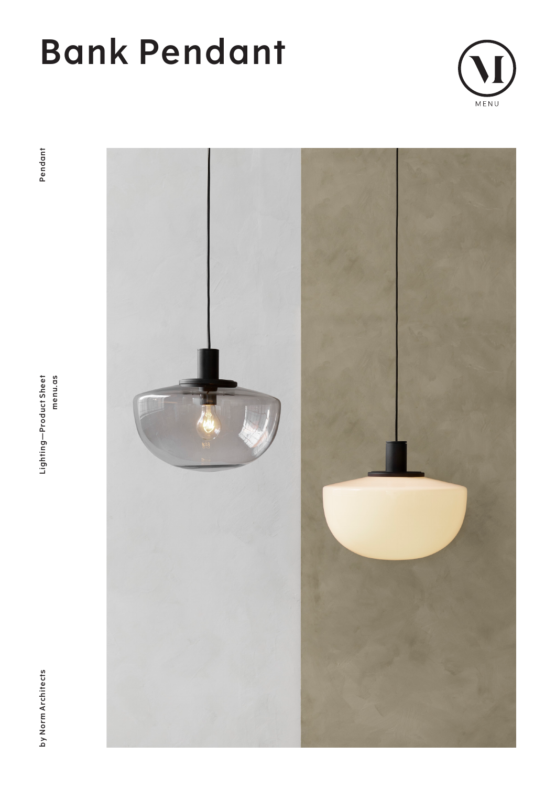

Lighting-Product Sheet<br>menu.as



by Norm Architects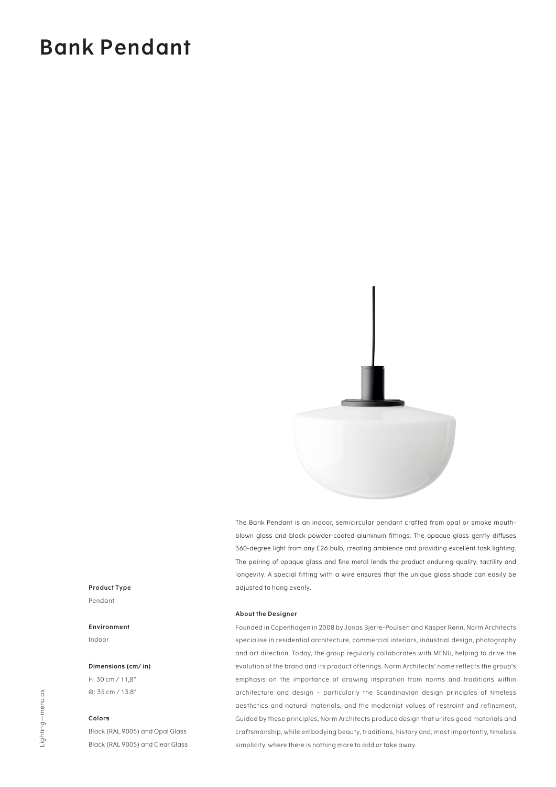

The Bank Pendant is an indoor, semicircular pendant crafted from opal or smoke mouthblown glass and black powder-coated aluminum fittings. The opaque glass gently diffuses 360-degree light from any E26 bulb, creating ambience and providing excellent task lighting. The pairing of opaque glass and fine metal lends the product enduring quality, tactility and longevity. A special fitting with a wire ensures that the unique glass shade can easily be adjusted to hang evenly.

#### **About the Designer**

Founded in Copenhagen in 2008 by Jonas Bjerre-Poulsen and Kasper Rønn, Norm Architects specialise in residential architecture, commercial interiors, industrial design, photography and art direction. Today, the group regularly collaborates with MENU, helping to drive the evolution of the brand and its product offerings. Norm Architects' name reflects the group's emphasis on the importance of drawing inspiration from norms and traditions within architecture and design – particularly the Scandinavian design principles of timeless aesthetics and natural materials, and the modernist values of restraint and refinement. Guided by these principles, Norm Architects produce design that unites good materials and craftsmanship, while embodying beauty, traditions, history and, most importantly, timeless simplicity, where there is nothing more to add or take away.

### **Product Type** Pendant

**Environment** Indoor

#### **Dimensions (cm/ in)**

H: 30 cm / 11,8" Ø: 35 cm / 13,8"

### **Colors**

Black (RAL 9005) and Opal Glass Black (RAL 9005) and Clear Glass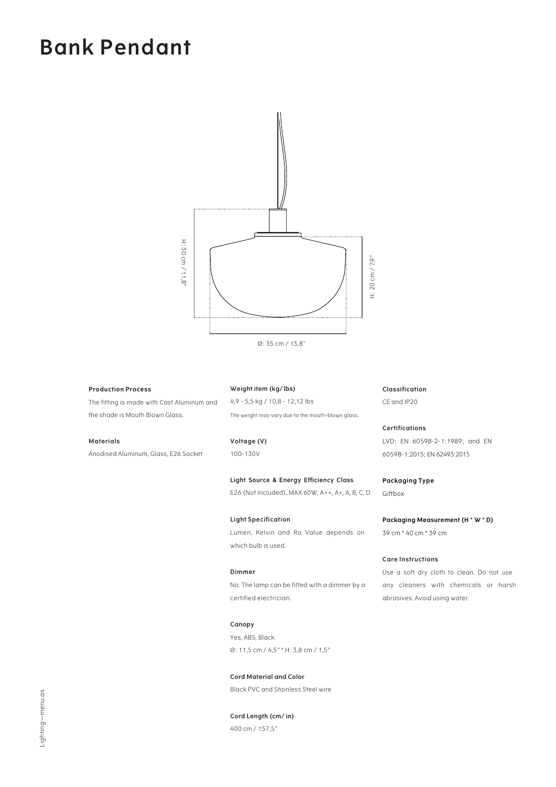

Ø: 35 cm / 13,8"

### **Production Process**

The fitting is made with Cast Aluminum and the shade is Mouth Blown Glass.

### **Materials**

Anodised Aluminum, Glass, E26 Socket

**Weight item (kg/ lbs)** 4,9 - 5,5 kg / 10,8 - 12,12 lbs The weight may vary due to the mouth-blown glass.

**Voltage (V)** 100-130V

**Light Source & Energy Efficiency Class**  E26 (Not Included), MAX 60W, A++, A+, A, B, C, D

**Light Specification** Lumen, Kelvin and Ra Value depends on which bulb is used.

### **Dimmer** No. The lamp can be fitted with a dimmer by a

certified electrician.

**Canopy** Yes, ABS, Black Ø: 11,5 cm / 4,5" \* H: 3,8 cm / 1,5"

**Cord Material and Color** Black PVC and Stainless Steel wire

**Cord Length (cm/ in)** 400 cm / 157,5"

**Classification** CE and IP20

**Certifications** LVD: EN 60598-2-1:1989; and EN 60598-1:2015; EN 62493:2015

**Packaging Type** Giftbox

**Packaging Measurement (H \* W \* D)** 39 cm \* 40 cm \* 39 cm

### **Care Instructions**

Use a soft dry cloth to clean. Do not use any cleaners with chemicals or harsh abrasives. Avoid using water.